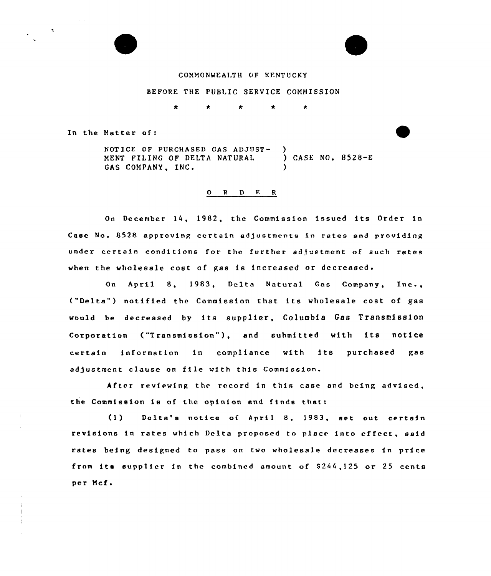

#### COAHONWEALTH OF KENTUCKY

### BEFORE THE PUBLIC SERVICE COMMISSION

 $\bullet$ 

In the Natter of:

NOTICE OF PURCHASED GAS ADJUST-<br>
MENT FILING OF DELTA NATURAL
 ) CASE NO. 8528-E MENT FILING OF DELTA NATURAL GAS COMPANY, INC.

### 0 <sup>R</sup> <sup>D</sup> E <sup>R</sup>

On December 14, 1982, the Commission issued its Order in Case No. 8528 approving certain adjustments in rates end providing under certain conditions for the further adjustment of such rates when the wholesale cost of gas is increased or decreased.

On April 8, 1983, Delta Natural Gas Company, Inc., ("Delta") notified the Commission that its wholesale cost of gas would be decreased by its supplier, Columbia Gas Transmission Corporation ("Transmission"), and submitted with its notice certain information in compliance with its purchased gas adjustment clause on file with this Commission.

After reviewing the record in this case and being advised, the Commission is of the opinion and finds that:

(1) Delta's notice of April 8, 1983, set out certain revisions in rates which Delta proposed to place into effect, said rates being designed to pass on two wholesale decreases in price from its supplier in the combined amount of  $$244,125$  or 25 cents per Mcf.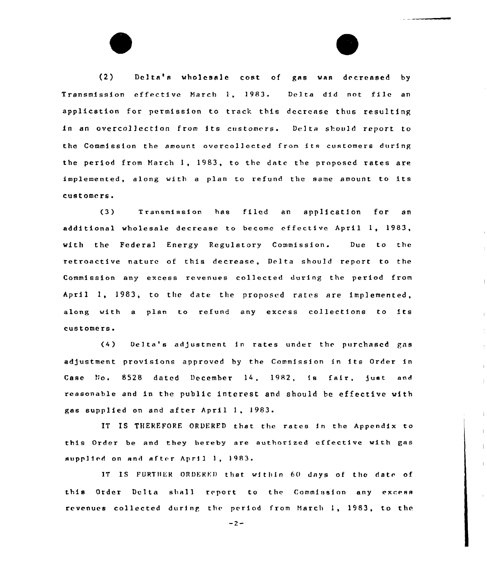(2) Delta's wholesale cost of gas was decreased by Transmission effective March 1, 1983. Delta did not file an application for permission to track this decrease thus resulting in an overco11ection from its customers. Delta should report to the Commission the amount avercallected fram its customers during the period from March I, 1983, to the date the prnpased rates are implemented, along with <sup>a</sup> plan to refund the same amount to its customers.

(3) Transmission has filed an application for an additional wholesale decrease to become effective April 1, 1983, with the Federa1 Energy Regulatory Commission. Due to the retroactive nature of this decrease, Delta should report to the Commission any excess revenues collected during the period from April I, 1983, to the date the proposed rates are implemented, along with <sup>a</sup> plan to refund any excess collections to its customers.

 $\overline{1}$ 

(4) Delta's adJustment in rates under the purchased gas adjustment provisions approved by the Commission in its Order in Case No. 8528 dated December 14, 1982, is fair, just and reasonable and in the public interest and should be effective with gas supplied on and after April I, <sup>1983</sup>

IT IS THEREFORE ORDERED that the rates in the Appendix to this Order be and they hereby are authorized effective with gas supplied on and after April 1, 1983.

IT IS FURTHER ORDERED that within 60 days of the date of this Order Delta shall report to the Commission any excess revenues collected during the period from Harch I, 1983, to the

 $-2-$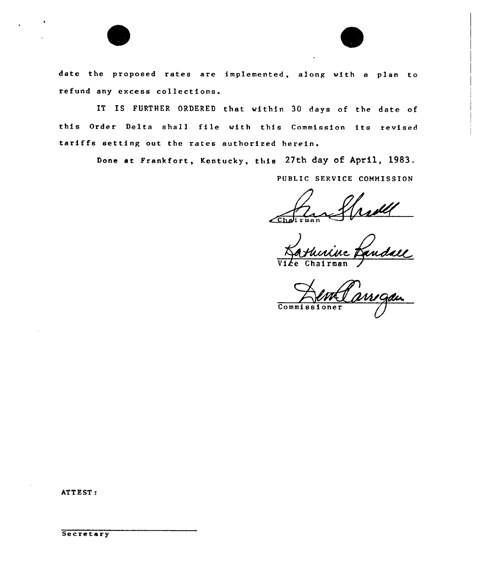

date the proposed rates are implemented, along with <sup>a</sup> plan to refund any excess collections.

IT IS FURTHER ORDERED that within 30 days of the date of this Order Delta shall file with this Commission its revised tariffs setting out the rates authorized herein.

Done at Frankfort, Kentucky, this 27th day of April, 1983.

PUBLIC SERVICE COMMISSION

 $\epsilon$ halirma  $\overrightarrow{d}$ v

Vice Chairman

Commissi  $one$  $r$ 

ATTEST:

**Secretary**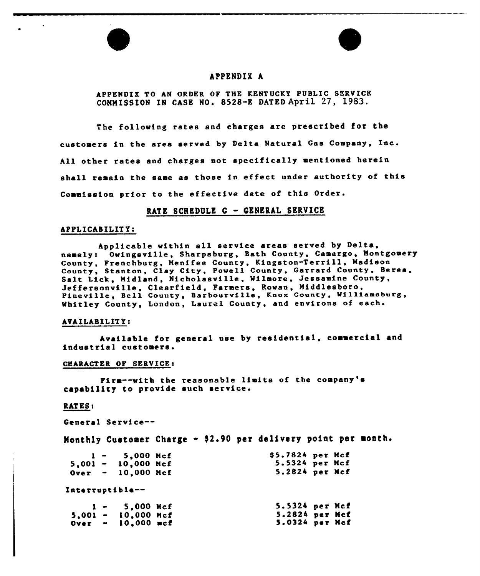

## APPENDIX h

APPENDIX TO AN ORDER OF THE KENTUCKY PUBLIC SERVICE COMMISSION IN CASE NO. 8528-E DATED April 27, 1983.

The following rates and charges are prescribed for the custoaers in the area served by Delta Natural Gas Company, Xnc. All other rates and charges not specifically aentioned herein shall remain the same as those in effect under authority of this Commission prior to the effective date of this Order.

### RATE SCHEDULE G - GENERAL SERVICE

#### APPLICABILITY:

Applicable within all service areas served by Delta, namely: Owingsville, Sharpsburg, Bath County, Camargo, Montgomery County, Frenchburg, Menifee County, Kingston-Terrill, Madison County, Stanton, Clay City, Powell County, Garrard County, Berea, Salt Lick, Midland, Nicholasville, Wilmore, Jessamine County, Jeffersonville, Clearfield, Faraers, Rowan, Middlesboro, Pineville, Bell County, Barbourville, Knox County, Williamsburg, Vhitley County, London, Laurel County, and environs of each.

### AVAILABXLIT Y:

Available for general use by residential, commercial and industrial custoaers.

#### CHARACTER OF SERVICE:

Fire--with the reasonable liaits of the coapany's capability to provide such service

## RATES:

General Service--

Monthly Customer Charge - \$2.90 per delivery point per month.

|  | $1 - 5,000$ Mcf             | \$5.7824 per Mcf |  |
|--|-----------------------------|------------------|--|
|  | $5,001 - 10,000$ Mcf        | 5.5324 per Mcf   |  |
|  | $0 \text{ver}$ - 10,000 Mcf | 5.2824 per Mcf   |  |
|  | Interruptible--             |                  |  |
|  | $1 - 5,000$ Hcf             | 5.5324 per Mcf   |  |
|  | $5,001 - 10,000$ Mcf        | 5.2824 per Mcf   |  |
|  | Over $-10,000$ mcf          | 5.0324 per Mcf   |  |